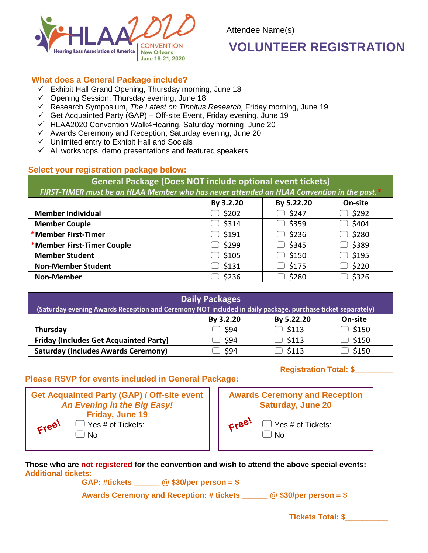

Attendee Name(s)

# **VOLUNTEER REGISTRATION**

#### **What does a General Package include?**

- $\checkmark$  Exhibit Hall Grand Opening, Thursday morning, June 18
- $\checkmark$  Opening Session, Thursday evening, June 18
- Research Symposium, *The Latest on Tinnitus Research,* Friday morning, June 19
- $\checkmark$  Get Acquainted Party (GAP) Off-site Event, Friday evening, June 19
- $\checkmark$  HLAA2020 Convention Walk4Hearing, Saturday morning, June 20
- $\checkmark$  Awards Ceremony and Reception, Saturday evening, June 20
- $\checkmark$  Unlimited entry to Exhibit Hall and Socials
- $\checkmark$  All workshops, demo presentations and featured speakers

#### **Select your registration package below:**

**General Package (Does NOT include optional event tickets)** *FIRST-TIMER must be an HLAA Member who has never attended an HLAA Convention in the past.\** **By 3.2.20 By 5.22.20 On-site Member Individual**   $\Box$  \$202  $\Box$  \$247  $\Box$  \$292  **Member Couple** \$314 \$359 \$404 **\*Member First-Timer** \$191 \$236 \$280 **\*Member First-Timer Couple** \$299 \$345 \$389  **Member Student** \$105 \$150 \$195 **Non-Member Student**  $\Box$  \$131  $\Box$  \$175  $\Box$  \$220 **Non-Member**  $\Box$  \$236  $\Box$  \$280  $\Box$  \$326

| <b>Daily Packages</b><br>(Saturday evening Awards Reception and Ceremony NOT included in daily package, purchase ticket separately) |           |              |         |  |  |  |  |
|-------------------------------------------------------------------------------------------------------------------------------------|-----------|--------------|---------|--|--|--|--|
|                                                                                                                                     | By 3.2.20 | By 5.22.20   | On-site |  |  |  |  |
| Thursday                                                                                                                            | - S94     | $\Box$ \$113 | \$150   |  |  |  |  |
| <b>Friday (Includes Get Acquainted Party)</b>                                                                                       | \$94      | $\Box$ \$113 | \$150   |  |  |  |  |
| <b>Saturday (Includes Awards Ceremony)</b>                                                                                          | \$94      | 5113         | \$150   |  |  |  |  |

### **Please RSVP for events included in General Package:**

|                             | <b>Get Acquainted Party (GAP) / Off-site event</b> |  |  |  |
|-----------------------------|----------------------------------------------------|--|--|--|
| An Evening in the Big Easy! |                                                    |  |  |  |
| Friday, June 19             |                                                    |  |  |  |
| Free!                       | $\Box$ Yes # of Tickets:                           |  |  |  |

No

 $\Box$  Yes # of Tickets:

#### **Registration Total: \$\_\_\_\_\_\_\_\_\_**



**Those who are not registered for the convention and wish to attend the above special events: Additional tickets:** 

**GAP: #tickets \_\_\_\_\_\_ @ \$30/per person = \$**

**Awards Ceremony and Reception: # tickets \_\_\_\_\_\_ @ \$30/per person = \$**

**Tickets Total: \$\_\_\_\_\_\_\_\_\_\_**